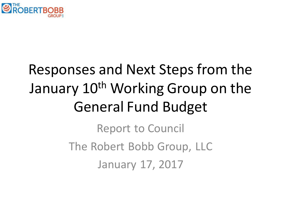

# Responses and Next Steps from the January 10<sup>th</sup> Working Group on the General Fund Budget

Report to Council The Robert Bobb Group, LLC January 17, 2017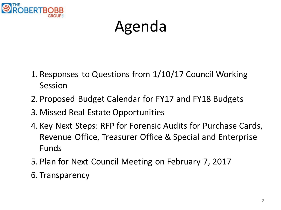

# Agenda

- 1. Responses to Questions from 1/10/17 Council Working Session
- 2. Proposed Budget Calendar for FY17 and FY18 Budgets
- 3. Missed Real Estate Opportunities
- 4. Key Next Steps: RFP for Forensic Audits for Purchase Cards, Revenue Office, Treasurer Office & Special and Enterprise Funds
- 5. Plan for Next Council Meeting on February 7, 2017
- 6. Transparency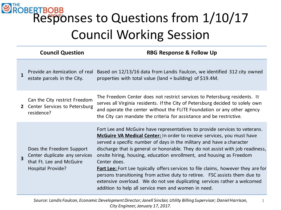|                         | <b>Council Question</b>                                                                                    | <b>RBG Response &amp; Follow Up</b>                                                                                                                                                                                                                                                                                                                                                                                                                                                                                                                                                                                                                                                                                  |
|-------------------------|------------------------------------------------------------------------------------------------------------|----------------------------------------------------------------------------------------------------------------------------------------------------------------------------------------------------------------------------------------------------------------------------------------------------------------------------------------------------------------------------------------------------------------------------------------------------------------------------------------------------------------------------------------------------------------------------------------------------------------------------------------------------------------------------------------------------------------------|
| $\mathbf{1}$            | Provide an itemization of real<br>estate parcels in the City.                                              | Based on 12/13/16 data from Landis Faulcon, we identified 312 city owned<br>properties with total value (land $+$ building) of \$19.4M.                                                                                                                                                                                                                                                                                                                                                                                                                                                                                                                                                                              |
| $\mathbf{2}$            | Can the City restrict Freedom<br>Center Services to Petersburg<br>residence?                               | The Freedom Center does not restrict services to Petersburg residents. It<br>serves all Virginia residents. If the City of Petersburg decided to solely own<br>and operate the center without the FLITE Foundation or any other agency<br>the City can mandate the criteria for assistance and be restrictive.                                                                                                                                                                                                                                                                                                                                                                                                       |
| $\overline{\mathbf{3}}$ | Does the Freedom Support<br>Center duplicate any services<br>that Ft. Lee and McGuire<br>Hospital Provide? | Fort Lee and McGuire have representatives to provide services to veterans.<br>McGuire VA Medical Center: In order to receive services, you must have<br>served a specific number of days in the military and have a character<br>discharge that is general or honorable. They do not assist with job readiness,<br>onsite hiring, housing, education enrollment, and housing as Freedom<br>Center does.<br><b>Fort Lee:</b> Fort Lee typically offers services to file claims, however they are for<br>persons transitioning from active duty to retiree. FSC assists them due to<br>extensive overload. We do not see duplicating services rather a welcomed<br>addition to help all service men and women in need. |

3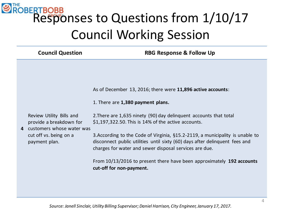| <b>Council Question</b>                                                                                                       | <b>RBG Response &amp; Follow Up</b>                                                                                                                                                                                                                                                                                                                                                                                                                                                                                                                           |
|-------------------------------------------------------------------------------------------------------------------------------|---------------------------------------------------------------------------------------------------------------------------------------------------------------------------------------------------------------------------------------------------------------------------------------------------------------------------------------------------------------------------------------------------------------------------------------------------------------------------------------------------------------------------------------------------------------|
| Review Utility Bills and<br>provide a breakdown for<br>4 customers whose water was<br>cut off vs. being on a<br>payment plan. | As of December 13, 2016; there were 11,896 active accounts:<br>1. There are 1,380 payment plans.<br>2. There are 1,635 ninety (90) day delinguent accounts that total<br>$$1,197,322.50$ . This is 14% of the active accounts.<br>3. According to the Code of Virginia, §15.2-2119, a municipality is unable to<br>disconnect public utilities until sixty (60) days after delinquent fees and<br>charges for water and sewer disposal services are due.<br>From 10/13/2016 to present there have been approximately 192 accounts<br>cut-off for non-payment. |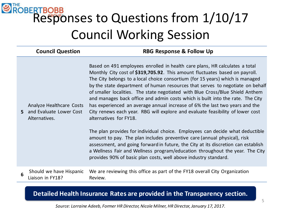|   | <b>Council Question</b>                                                              | <b>RBG Response &amp; Follow Up</b>                                                                                                                                                                                                                                                                                                                                                                                                                                                                                                                                                                                                                                                                                                                                                                                                                                                                                                                                                                                                                                                              |
|---|--------------------------------------------------------------------------------------|--------------------------------------------------------------------------------------------------------------------------------------------------------------------------------------------------------------------------------------------------------------------------------------------------------------------------------------------------------------------------------------------------------------------------------------------------------------------------------------------------------------------------------------------------------------------------------------------------------------------------------------------------------------------------------------------------------------------------------------------------------------------------------------------------------------------------------------------------------------------------------------------------------------------------------------------------------------------------------------------------------------------------------------------------------------------------------------------------|
|   | <b>Analyze Healthcare Costs</b><br><b>5</b> and Evaluate Lower Cost<br>Alternatives. | Based on 491 employees enrolled in health care plans, HR calculates a total<br>Monthly City cost of \$319,705.92. This amount fluctuates based on payroll.<br>The City belongs to a local choice consortium (for 15 years) which is managed<br>by the state department of human resources that serves to negotiate on behalf<br>of smaller localities. The state negotiated with Blue Cross/Blue Shield Anthem<br>and manages back office and admin costs which is built into the rate. The City<br>has experienced an average annual increase of 6% the last two years and the<br>City renews each year. RBG will explore and evaluate feasibility of lower cost<br>alternatives for FY18.<br>The plan provides for individual choice. Employees can decide what deductible<br>amount to pay. The plan includes preventive care (annual physical), risk<br>assessment, and going forward in future, the City at its discretion can establish<br>a Wellness Fair and Wellness program/education throughout the year. The City<br>provides 90% of basic plan costs, well above industry standard. |
| 6 | $\frac{1}{2}$                                                                        | Should we have Hispanic We are reviewing this office as part of the FY18 overall City Organization<br>$D_{\alpha}, \ldots$                                                                                                                                                                                                                                                                                                                                                                                                                                                                                                                                                                                                                                                                                                                                                                                                                                                                                                                                                                       |

Liaison in FY18?

We are reviewing this office as part of the FY18 overall City Organization Review.

#### **Detailed Health Insurance Rates are provided in the Transparency section.**

*Source: Lorraine Adeeb, Former HR Director, Nicole Milner, HR Director, January 17, 2017.*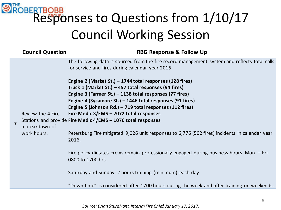|                         | <b>Council Question</b>                            | <b>RBG Response &amp; Follow Up</b>                                                                                                                                                                                                                                                                                                                                                                                                                                                                                                                                                                                                                                                                                                                                                                           |
|-------------------------|----------------------------------------------------|---------------------------------------------------------------------------------------------------------------------------------------------------------------------------------------------------------------------------------------------------------------------------------------------------------------------------------------------------------------------------------------------------------------------------------------------------------------------------------------------------------------------------------------------------------------------------------------------------------------------------------------------------------------------------------------------------------------------------------------------------------------------------------------------------------------|
|                         |                                                    | The following data is sourced from the fire record management system and reflects total calls<br>for service and fires during calendar year 2016.                                                                                                                                                                                                                                                                                                                                                                                                                                                                                                                                                                                                                                                             |
| $\overline{\mathbf{z}}$ | Review the 4 Fire<br>a breakdown of<br>work hours. | Engine 2 (Market St.) - 1744 total responses (128 fires)<br>Truck 1 (Market St.) - 457 total responses (94 fires)<br>Engine 3 (Farmer St.) – 1138 total responses (77 fires)<br>Engine 4 (Sycamore St.) $-$ 1446 total responses (91 fires)<br>Engine 5 (Johnson Rd.) – 719 total responses (112 fires)<br>Fire Medic 3/EMS - 2072 total responses<br>Stations and provide Fire Medic 4/EMS - 1076 total responses<br>Petersburg Fire mitigated 9,026 unit responses to 6,776 (502 fires) incidents in calendar year<br>2016.<br>Fire policy dictates crews remain professionally engaged during business hours, Mon. $-$ Fri.<br>0800 to 1700 hrs.<br>Saturday and Sunday: 2 hours training (minimum) each day<br>"Down time" is considered after 1700 hours during the week and after training on weekends. |

*Source: Brian Sturdivant, Interim Fire Chief, January 17, 2017.*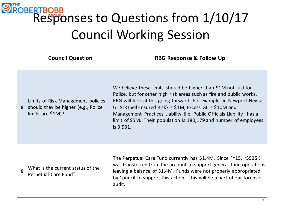**Council Question RBG Response & Follow Up**

| Limits of Risk Management policies:          |
|----------------------------------------------|
| <b>8</b> should they be higher (e.g., Police |
| limits are $$1M$ ?                           |

We believe these limits should be higher than \$1M not just for Police, but for other high risk areas such as fire and public works. RBG will look at this going forward. For example, in Newport News: GL SIR {Self-Insured Risk} is \$1M, Excess GL is \$10M and Management Practices Liability {i.e. Public Officials Liability} has a limit of \$5M. Their population is 180,179 and number of employees is 3,531.

**<sup>9</sup>** What is the current status of the Perpetual Care Fund?

The Perpetual Care Fund currently has \$1.4M. Since FY15, ~\$525K was transferred from the account to support general fund operations leaving a balance of \$1.4M. Funds were not properly appropriated by Council to support this action. This will be a part of our forensic audit.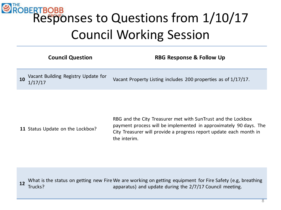|    | <b>Council Question</b>                        | <b>RBG Response &amp; Follow Up</b>                            |
|----|------------------------------------------------|----------------------------------------------------------------|
| 10 | Vacant Building Registry Update for<br>1/17/17 | Vacant Property Listing includes 200 properties as of 1/17/17. |

**11** Status Update on the Lockbox?

RBG and the City Treasurer met with SunTrust and the Lockbox payment process will be implemented in approximately 90 days. The City Treasurer will provide a progress report update each month in the interim.

What is the status on getting new Fire We are working on getting equipment for Fire Safety (e.g, breathing 12 Trucks) Trucks? apparatus) and update during the 2/7/17 Council meeting.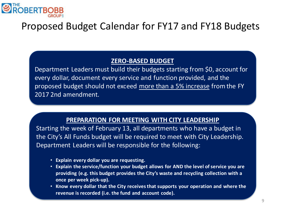

#### **ZERO-BASED BUDGET**

Department Leaders must build their budgets starting from \$0, account for every dollar, document every service and function provided, and the proposed budget should not exceed more than a 5% increase from the FY 2017 2nd amendment.

#### **PREPARATION FOR MEETING WITH CITY LEADERSHIP**

Starting the week of February 13, all departments who have a budget in the City's All Funds budget will be required to meet with City Leadership. Department Leaders will be responsible for the following:

- **Explain every dollar you are requesting.**
- **Explain the service/function your budget allows for AND the level of service you are providing (e.g. this budget provides the City's waste and recycling collection with a once per week pick-up).**
- **Know every dollar that the City receives that supports your operation and where the revenue is recorded (i.e. the fund and account code).**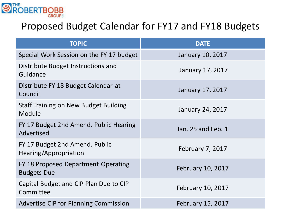

| <b>TOPIC</b>                                              | <b>DATE</b>              |
|-----------------------------------------------------------|--------------------------|
| Special Work Session on the FY 17 budget                  | January 10, 2017         |
| Distribute Budget Instructions and<br>Guidance            | January 17, 2017         |
| Distribute FY 18 Budget Calendar at<br>Council            | January 17, 2017         |
| Staff Training on New Budget Building<br>Module           | <b>January 24, 2017</b>  |
| FY 17 Budget 2nd Amend. Public Hearing<br>Advertised      | Jan. 25 and Feb. 1       |
| FY 17 Budget 2nd Amend. Public<br>Hearing/Appropriation   | February 7, 2017         |
| FY 18 Proposed Department Operating<br><b>Budgets Due</b> | February 10, 2017        |
| Capital Budget and CIP Plan Due to CIP<br>Committee       | February 10, 2017        |
| <b>Advertise CIP for Planning Commission</b>              | <b>February 15, 2017</b> |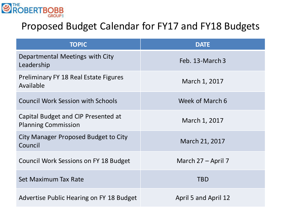

| <b>TOPIC</b>                                                      | <b>DATE</b>          |
|-------------------------------------------------------------------|----------------------|
| Departmental Meetings with City<br>Leadership                     | Feb. 13-March 3      |
| <b>Preliminary FY 18 Real Estate Figures</b><br>Available         | March 1, 2017        |
| <b>Council Work Session with Schools</b>                          | Week of March 6      |
| Capital Budget and CIP Presented at<br><b>Planning Commission</b> | March 1, 2017        |
| City Manager Proposed Budget to City<br>Council                   | March 21, 2017       |
| Council Work Sessions on FY 18 Budget                             | March $27 -$ April 7 |
| Set Maximum Tax Rate                                              | <b>TBD</b>           |
| Advertise Public Hearing on FY 18 Budget                          | April 5 and April 12 |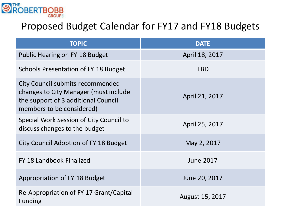

| <b>TOPIC</b>                                                                                                                                  | <b>DATE</b>      |
|-----------------------------------------------------------------------------------------------------------------------------------------------|------------------|
| Public Hearing on FY 18 Budget                                                                                                                | April 18, 2017   |
| Schools Presentation of FY 18 Budget                                                                                                          | <b>TBD</b>       |
| City Council submits recommended<br>changes to City Manager (must include<br>the support of 3 additional Council<br>members to be considered) | April 21, 2017   |
| Special Work Session of City Council to<br>discuss changes to the budget                                                                      | April 25, 2017   |
| City Council Adoption of FY 18 Budget                                                                                                         | May 2, 2017      |
| FY 18 Landbook Finalized                                                                                                                      | <b>June 2017</b> |
| Appropriation of FY 18 Budget                                                                                                                 | June 20, 2017    |
| Re-Appropriation of FY 17 Grant/Capital<br><b>Funding</b>                                                                                     | August 15, 2017  |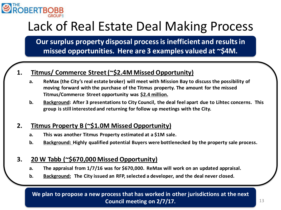

## Lack of Real Estate Deal Making Process

**Our surplus property disposal process is inefficient and results in missed opportunities. Here are 3 examples valued at ~\$4M.**

#### **1. Titmus/ Commerce Street (~\$2.4M Missed Opportunity)**

- **a. ReMax (the City's real estate broker) will meet with Mission Bay to discuss the possibility of moving forward with the purchase of the Titmus property. The amount for the missed Titmus/Commerce Street opportunity was \$2.4 million.**
- **b. Background: After 3 presentations to City Council, the deal feel apart due to Lihtec concerns. This group is still interested and returning for follow up meetings with the City.**

#### **2. Titmus Property B (~\$1.0M Missed Opportunity)**

- **a. This was another Titmus Property estimated at a \$1M sale.**
- **b. Background: Highly qualified potential Buyers were bottlenecked by the property sale process.**

#### **3. 20 W Tabb (~\$670,000 Missed Opportunity)**

- **a. The appraisal from 1/7/16 was for \$670,000. ReMax will work on an updated appraisal.**
- **b. Background: The City issued an RFP, selected a developer, and the deal never closed.**

**We plan to propose a new process that has worked in other jurisdictions at the next Council meeting on 2/7/17.**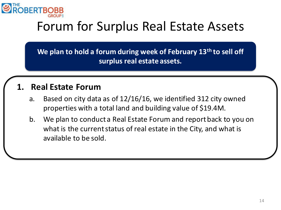

## Forum for Surplus Real Estate Assets

**Listed below are 3 examples of real estate opportunities: surplus real estate assets.We plan to hold a forum during week of February 13th to sell off** 

### **1. Real Estate Forum**

- a. Based on city data as of 12/16/16, we identified 312 city owned properties with a total land and building value of \$19.4M.
- b. We plan to conduct a Real Estate Forum and report back to you on what is the current status of real estate in the City, and what is available to be sold.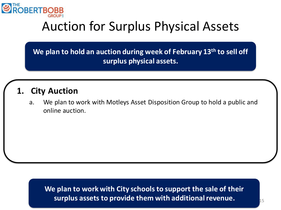

### Auction for Surplus Physical Assets

**Listed below are 3 examples of real estate opportunities: surplus physical assets. We plan to hold an auction during week of February 13th to sell off** 

### **1. City Auction**

a. We plan to work with Motleys Asset Disposition Group to hold a public and online auction.

**We plan to work with City schools to support the sale of their surplus assets to provide them with additional revenue.**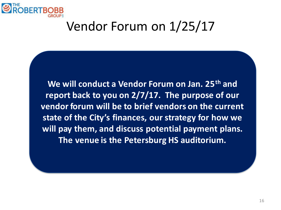

## Vendor Forum on 1/25/17

**We will conduct a Vendor Forum on Jan. 25th and report back to you on 2/7/17. The purpose of our vendor forum will be to brief vendors on the current state of the City's finances, our strategy for how we will pay them, and discuss potential payment plans. The venue is the Petersburg HS auditorium.**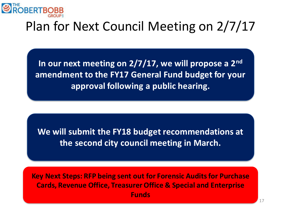

## Plan for Next Council Meeting on 2/7/17

**In our next meeting on 2/7/17, we will propose a 2nd amendment to the FY17 General Fund budget for your approval following a public hearing.**

**We will submit the FY18 budget recommendations at the second city council meeting in March.**

**Key Next Steps: RFP being sent out for Forensic Audits for Purchase Cards, Revenue Office, Treasurer Office & Special and Enterprise Funds**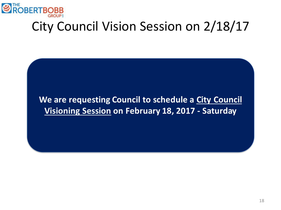

## City Council Vision Session on 2/18/17

### **We are requesting Council to schedule a City Council Visioning Session on February 18, 2017 - Saturday**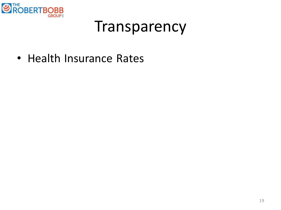

## Transparency

• Health Insurance Rates